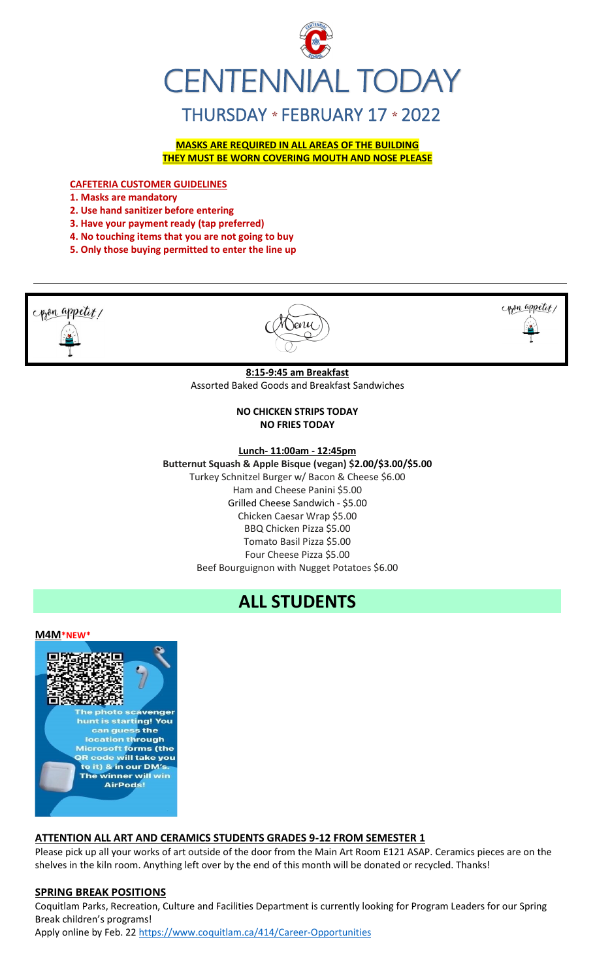

**MASKS ARE REQUIRED IN ALL AREAS OF THE BUILDING THEY MUST BE WORN COVERING MOUTH AND NOSE PLEASE**

**CAFETERIA CUSTOMER GUIDELINES**

**1. Masks are mandatory**

- **2. Use hand sanitizer before entering**
- **3. Have your payment ready (tap preferred)**
- **4. No touching items that you are not going to buy**
- **5. Only those buying permitted to enter the line up**





#### **ATTENTION ALL ART AND CERAMICS STUDENTS GRADES 9-12 FROM SEMESTER 1**

Please pick up all your works of art outside of the door from the Main Art Room E121 ASAP. Ceramics pieces are on the shelves in the kiln room. Anything left over by the end of this month will be donated or recycled. Thanks!

#### **SPRING BREAK POSITIONS**

Coquitlam Parks, Recreation, Culture and Facilities Department is currently looking for Program Leaders for our Spring Break children's programs!

Apply online by Feb. 2[2 https://www.coquitlam.ca/414/Career-Opportunities](https://www.coquitlam.ca/414/Career-Opportunities)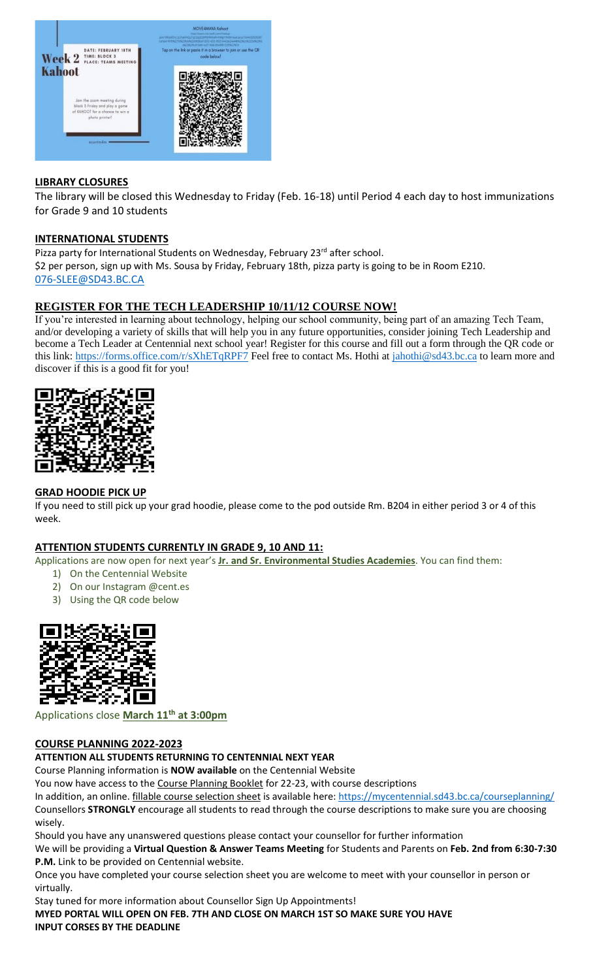

## **LIBRARY CLOSURES**

The library will be closed this Wednesday to Friday (Feb. 16-18) until Period 4 each day to host immunizations for Grade 9 and 10 students

#### **INTERNATIONAL STUDENTS**

Pizza party for International Students on Wednesday, February 23<sup>rd</sup> after school. \$2 per person, sign up with Ms. Sousa by Friday, February 18th, pizza party is going to be in Room E210. [076-SLEE@SD43.BC.CA](mailto:076-SLEE@sd43.bc.ca)

# **REGISTER FOR THE TECH LEADERSHIP 10/11/12 COURSE NOW!**

If you're interested in learning about technology, helping our school community, being part of an amazing Tech Team, and/or developing a variety of skills that will help you in any future opportunities, consider joining Tech Leadership and become a Tech Leader at Centennial next school year! Register for this course and fill out a form through the QR code or this link:<https://forms.office.com/r/sXhETqRPF7> Feel free to contact Ms. Hothi at [jahothi@sd43.bc.ca](mailto:jahothi@sd43.bc.ca) to learn more and discover if this is a good fit for you!



#### **GRAD HOODIE PICK UP**

If you need to still pick up your grad hoodie, please come to the pod outside Rm. B204 in either period 3 or 4 of this week.

#### **ATTENTION STUDENTS CURRENTLY IN GRADE 9, 10 AND 11:**

Applications are now open for next year's **Jr. and Sr. Environmental Studies Academies**. You can find them:

- 1) On the Centennial Website
- 2) On our Instagram @cent.es
- 3) Using the QR code below



Applications close **March 11th at 3:00pm**

#### **COURSE PLANNING 2022-2023**

**ATTENTION ALL STUDENTS RETURNING TO CENTENNIAL NEXT YEAR**

Course Planning information is **NOW available** on the Centennial Website

You now have access to the Course Planning Booklet for 22-23, with course descriptions

In addition, an online. fillable course selection sheet is available here:<https://mycentennial.sd43.bc.ca/courseplanning/> Counsellors **STRONGLY** encourage all students to read through the course descriptions to make sure you are choosing wisely.

Should you have any unanswered questions please contact your counsellor for further information

We will be providing a **Virtual Question & Answer Teams Meeting** for Students and Parents on **Feb. 2nd from 6:30-7:30 P.M.** Link to be provided on Centennial website.

Once you have completed your course selection sheet you are welcome to meet with your counsellor in person or virtually.

Stay tuned for more information about Counsellor Sign Up Appointments! **MYED PORTAL WILL OPEN ON FEB. 7TH AND CLOSE ON MARCH 1ST SO MAKE SURE YOU HAVE INPUT CORSES BY THE DEADLINE**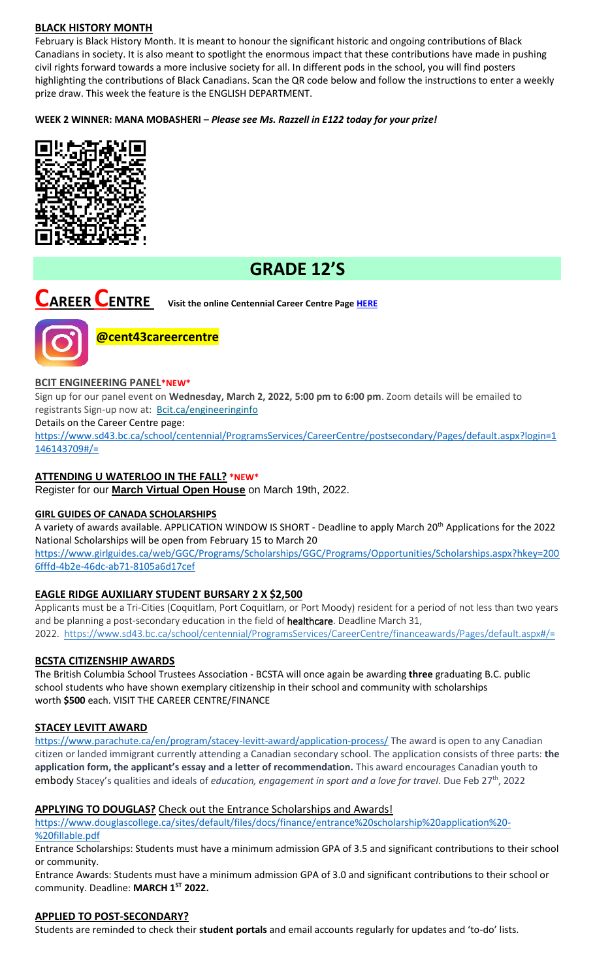# **BLACK HISTORY MONTH**

February is Black History Month. It is meant to honour the significant historic and ongoing contributions of Black Canadians in society. It is also meant to spotlight the enormous impact that these contributions have made in pushing civil rights forward towards a more inclusive society for all. In different pods in the school, you will find posters highlighting the contributions of Black Canadians. Scan the QR code below and follow the instructions to enter a weekly prize draw. This week the feature is the ENGLISH DEPARTMENT.

**WEEK 2 WINNER: MANA MOBASHERI –** *Please see Ms. Razzell in E122 today for your prize!*



# **GRADE 12'S**

**CAREER CENTRE Visit the online Centennial Career Centre Page [HERE](https://www.sd43.bc.ca/school/centennial/ProgramsServices/CareerCentre/experiences/Pages/default.aspx#/=)**



**@cent43careercentre** 

#### **BCIT ENGINEERING PANEL\*NEW\***

Sign up for our panel event on **Wednesday, March 2, 2022, 5:00 pm to 6:00 pm**. Zoom details will be emailed to registrants Sign-up now at: [Bcit.ca/engineeringinfo](https://www.bcit.ca/event/engineering-panel-online-information-session/)

Details on the Career Centre page:

[https://www.sd43.bc.ca/school/centennial/ProgramsServices/CareerCentre/postsecondary/Pages/default.aspx?login=1](https://www.sd43.bc.ca/school/centennial/ProgramsServices/CareerCentre/postsecondary/Pages/default.aspx?login=1146143709#/=) [146143709#/=](https://www.sd43.bc.ca/school/centennial/ProgramsServices/CareerCentre/postsecondary/Pages/default.aspx?login=1146143709#/=)

#### **ATTENDING U WATERLOO IN THE FALL? \*NEW\***

Register for our **[March Virtual Open House](https://uwaterloo.us3.list-manage.com/track/click?u=a81bb5075c90cdf7258cb7029&id=a88e5ad2bb&e=c0c4fc71cc)** on March 19th, 2022.

#### **GIRL GUIDES OF CANADA SCHOLARSHIPS**

A variety of awards available. APPLICATION WINDOW IS SHORT - Deadline to apply March 20<sup>th</sup> Applications for the 2022 National Scholarships will be open from February 15 to March 20

[https://www.girlguides.ca/web/GGC/Programs/Scholarships/GGC/Programs/Opportunities/Scholarships.aspx?hkey=200](https://www.girlguides.ca/web/GGC/Programs/Scholarships/GGC/Programs/Opportunities/Scholarships.aspx?hkey=2006fffd-4b2e-​46dc-ab71-8105a6d17cef) [6fffd-4b2e-46dc-ab71-8105a6d17cef](https://www.girlguides.ca/web/GGC/Programs/Scholarships/GGC/Programs/Opportunities/Scholarships.aspx?hkey=2006fffd-4b2e-​46dc-ab71-8105a6d17cef)

### **EAGLE RIDGE AUXILIARY STUDENT BURSARY 2 X \$2,500**

Applicants must be a Tri-Cities (Coquitlam, Port Coquitlam, or Port Moody) resident for a period of not less than two years and be planning a post-secondary education in the field of healthcare. Deadline March 31, 2022. <https://www.sd43.bc.ca/school/centennial/ProgramsServices/CareerCentre/financeawards/Pages/default.aspx#/=>

#### **BCSTA CITIZENSHIP AWARDS**

The British Columbia School Trustees Association - BCSTA will once again be awarding **three** graduating B.C. public school students who have shown exemplary citizenship in their school and community with scholarships worth **\$500** each. VISIT THE CAREER CENTRE/FINANCE

#### **STACEY LEVITT AWARD**

[https://www.parachute.ca/en/program/stacey-levitt-award/application-process/](file://///d00-v02-p01/Shared_Data/076/Staff_Shared/Office/centennial%20today/Centennial%20Today%202021-2022/February%202022/​https:/www.parachute.ca/en/program/stacey-levitt-award/application-process/) The award is open to any Canadian citizen or landed immigrant currently attending a Canadian secondary school. The application consists of three parts: **the application form, the applicant's essay and a letter of recommendation.** This award encourages Canadian youth to embody Stacey's qualities and ideals of *education, engagement in sport and a love for travel*. Due Feb 27th, 2022

#### **APPLYING TO DOUGLAS?** Check out the Entrance Scholarships and Awards!

[https://www.douglascollege.ca/sites/default/files/docs/finance/entrance%20scholarship%20application%20-](https://www.douglascollege.ca/sites/default/files/docs/finance/entrance%20scholarship%20application%20-%20fillable.pdf) [%20fillable.pdf](https://www.douglascollege.ca/sites/default/files/docs/finance/entrance%20scholarship%20application%20-%20fillable.pdf)

Entrance Scholarships: Students must have a minimum admission GPA of 3.5 and significant contributions to their school or community.

Entrance Awards: Students must have a minimum admission GPA of 3.0 and significant contributions to their school or community. Deadline: **MARCH 1ST 2022.**

#### **APPLIED TO POST-SECONDARY?**

Students are reminded to check their **student portals** and email accounts regularly for updates and 'to-do' lists.